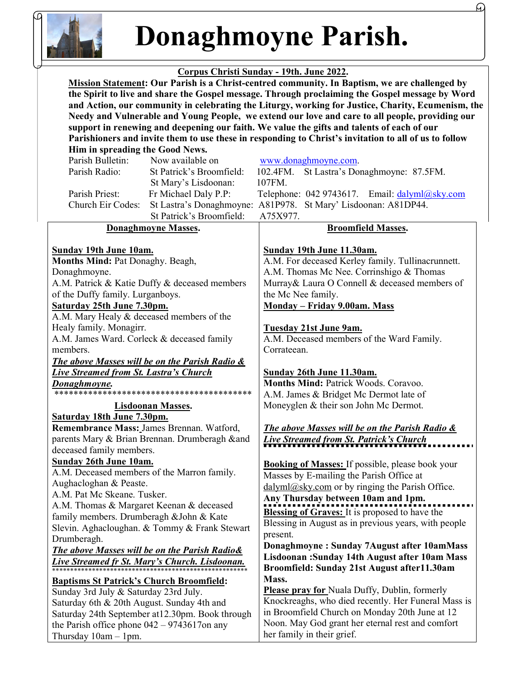

# Donaghmoyne Parish.

## Corpus Christi Sunday - 19th. June 2022.

 Mission Statement: Our Parish is a Christ-centred community. In Baptism, we are challenged by the Spirit to live and share the Gospel message. Through proclaiming the Gospel message by Word and Action, our community in celebrating the Liturgy, working for Justice, Charity, Ecumenism, the Needy and Vulnerable and Young People, we extend our love and care to all people, providing our support in renewing and deepening our faith. We value the gifts and talents of each of our Parishioners and invite them to use these in responding to Christ's invitation to all of us to follow

| Him in spreading the Good News.                 |                                                           |                          |                                                                         |  |
|-------------------------------------------------|-----------------------------------------------------------|--------------------------|-------------------------------------------------------------------------|--|
|                                                 | Parish Bulletin:                                          | Now available on         | www.donaghmoyne.com.                                                    |  |
|                                                 | Parish Radio:                                             | St Patrick's Broomfield: | 102.4FM.<br>St Lastra's Donaghmoyne: 87.5FM.                            |  |
|                                                 |                                                           | St Mary's Lisdoonan:     | 107FM.                                                                  |  |
|                                                 | Parish Priest:                                            | Fr Michael Daly P.P:     | Telephone: 042 9743617. Email: dalyml@sky.com                           |  |
|                                                 | Church Eir Codes:                                         |                          | St Lastra's Donaghmoyne: A81P978. St Mary' Lisdoonan: A81DP44.          |  |
|                                                 |                                                           | St Patrick's Broomfield: | A75X977.                                                                |  |
| <b>Donaghmoyne Masses.</b>                      |                                                           |                          | <b>Broomfield Masses.</b>                                               |  |
|                                                 |                                                           |                          |                                                                         |  |
|                                                 | <b>Sunday 19th June 10am.</b>                             |                          | Sunday 19th June 11.30am.                                               |  |
|                                                 | Months Mind: Pat Donaghy. Beagh,                          |                          | A.M. For deceased Kerley family. Tullinacrunnett.                       |  |
|                                                 | Donaghmoyne.                                              |                          | A.M. Thomas Mc Nee. Corrinshigo & Thomas                                |  |
|                                                 | A.M. Patrick & Katie Duffy & deceased members             |                          | Murray& Laura O Connell & deceased members of                           |  |
|                                                 | of the Duffy family. Lurganboys.                          |                          | the Mc Nee family.                                                      |  |
|                                                 | Saturday 25th June 7.30pm.                                |                          | <b>Monday - Friday 9.00am. Mass</b>                                     |  |
|                                                 | A.M. Mary Healy & deceased members of the                 |                          |                                                                         |  |
|                                                 | Healy family. Monagirr.                                   |                          | Tuesday 21st June 9am.                                                  |  |
| A.M. James Ward. Corleck & deceased family      |                                                           |                          | A.M. Deceased members of the Ward Family.                               |  |
|                                                 | members.                                                  |                          | Corrateean.                                                             |  |
|                                                 | <b>The above Masses will be on the Parish Radio &amp;</b> |                          |                                                                         |  |
| <b>Live Streamed from St. Lastra's Church</b>   |                                                           |                          | Sunday 26th June 11.30am.                                               |  |
| <u>Donaghmoyne.</u>                             |                                                           |                          | Months Mind: Patrick Woods. Coravoo.                                    |  |
|                                                 |                                                           |                          | A.M. James & Bridget Mc Dermot late of                                  |  |
| <b>Lisdoonan Masses.</b>                        |                                                           |                          | Moneyglen & their son John Mc Dermot.                                   |  |
|                                                 | Saturday 18th June 7.30pm.                                |                          |                                                                         |  |
|                                                 | Remembrance Mass: James Brennan. Watford,                 |                          | The above Masses will be on the Parish Radio &                          |  |
|                                                 | parents Mary & Brian Brennan. Drumberagh ∧                |                          | <b>Live Streamed from St. Patrick's Church</b>                          |  |
|                                                 | deceased family members.                                  |                          |                                                                         |  |
|                                                 | <b>Sunday 26th June 10am.</b>                             |                          | <b>Booking of Masses:</b> If possible, please book your                 |  |
| A.M. Deceased members of the Marron family.     |                                                           |                          | Masses by E-mailing the Parish Office at                                |  |
|                                                 | Aughacloghan & Peaste.                                    |                          | $\frac{dalyml(\omega)sky.com}{\omega}$ or by ringing the Parish Office. |  |
| A.M. Pat Mc Skeane. Tusker.                     |                                                           |                          | Any Thursday between 10am and 1pm.                                      |  |
| A.M. Thomas & Margaret Keenan & deceased        |                                                           |                          | <b>Blessing of Graves:</b> It is proposed to have the                   |  |
| family members. Drumberagh & John & Kate        |                                                           |                          | Blessing in August as in previous years, with people                    |  |
| Slevin. Aghacloughan. & Tommy & Frank Stewart   |                                                           |                          | present.                                                                |  |
| Drumberagh.                                     |                                                           |                          | Donaghmoyne: Sunday 7August after 10amMass                              |  |
| The above Masses will be on the Parish Radio&   |                                                           |                          | Lisdoonan: Sunday 14th August after 10am Mass                           |  |
| Live Streamed fr St. Mary's Church. Lisdoonan.  |                                                           |                          | Broomfield: Sunday 21st August after11.30am                             |  |
| <b>Baptisms St Patrick's Church Broomfield:</b> |                                                           |                          | Mass.                                                                   |  |
|                                                 | Sunday 3rd July & Saturday 23rd July.                     |                          | <b>Please pray for Nuala Duffy, Dublin, formerly</b>                    |  |
|                                                 | Saturday 6th & 20th August. Sunday 4th and                |                          | Knockreaghs, who died recently. Her Funeral Mass is                     |  |
|                                                 | Saturday 24th September at 12.30pm. Book through          |                          | in Broomfield Church on Monday 20th June at 12                          |  |
|                                                 | the Parish office phone $042 - 9743617$ on any            |                          | Noon. May God grant her eternal rest and comfort                        |  |
|                                                 | Thursday $10am - 1pm$ .                                   |                          | her family in their grief.                                              |  |
|                                                 |                                                           |                          |                                                                         |  |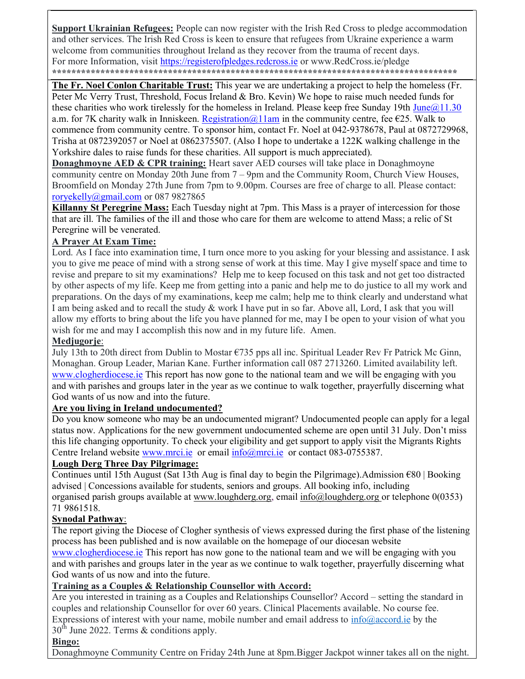Support Ukrainian Refugees: People can now register with the Irish Red Cross to pledge accommodation and other services. The Irish Red Cross is keen to ensure that refugees from Ukraine experience a warm welcome from communities throughout Ireland as they recover from the trauma of recent days. For more Information, visit https://registerofpledges.redcross.ie or www.RedCross.ie/pledge \*\*\*\*\*\*\*\*\*\*\*\*\*\*\*\*\*\*\*\*\*\*\*\*\*\*\*\*\*\*\*\*\*\*\*\*\*\*\*\*\*\*\*\*\*\*\*\*\*\*\*\*\*\*\*\*\*\*\*\*\*\*\*\*\*\*\*\*\*\*\*\*\*\*\*\*\*\*\*\*\*\*\*\*

The Fr. Noel Conlon Charitable Trust: This year we are undertaking a project to help the homeless (Fr. Peter Mc Verry Trust, Threshold, Focus Ireland & Bro. Kevin) We hope to raise much needed funds for these charities who work tirelessly for the homeless in Ireland. Please keep free Sunday 19th June $@11.30$ a.m. for 7K charity walk in Inniskeen. Registration  $\omega$  1 lam in the community centre, fee €25. Walk to commence from community centre. To sponsor him, contact Fr. Noel at 042-9378678, Paul at 0872729968, Trisha at 0872392057 or Noel at 0862375507. (Also I hope to undertake a 122K walking challenge in the Yorkshire dales to raise funds for these charities. All support is much appreciated).

**Donaghmoyne AED & CPR training:** Heart saver AED courses will take place in Donaghmoyne community centre on Monday 20th June from 7 – 9pm and the Community Room, Church View Houses, Broomfield on Monday 27th June from 7pm to 9.00pm. Courses are free of charge to all. Please contact: roryekelly@gmail.com or 087 9827865

Killanny St Peregrine Mass: Each Tuesday night at 7pm. This Mass is a prayer of intercession for those that are ill. The families of the ill and those who care for them are welcome to attend Mass; a relic of St Peregrine will be venerated.

### A Prayer At Exam Time:

Lord. As I face into examination time, I turn once more to you asking for your blessing and assistance. I ask you to give me peace of mind with a strong sense of work at this time. May I give myself space and time to revise and prepare to sit my examinations? Help me to keep focused on this task and not get too distracted by other aspects of my life. Keep me from getting into a panic and help me to do justice to all my work and preparations. On the days of my examinations, keep me calm; help me to think clearly and understand what I am being asked and to recall the study & work I have put in so far. Above all, Lord, I ask that you will allow my efforts to bring about the life you have planned for me, may I be open to your vision of what you wish for me and may I accomplish this now and in my future life. Amen.

#### Medjugorje:

July 13th to 20th direct from Dublin to Mostar  $\epsilon$ 735 pps all inc. Spiritual Leader Rev Fr Patrick Mc Ginn, Monaghan. Group Leader, Marian Kane. Further information call 087 2713260. Limited availability left. www.clogherdiocese.ie This report has now gone to the national team and we will be engaging with you and with parishes and groups later in the year as we continue to walk together, prayerfully discerning what God wants of us now and into the future.

#### Are you living in Ireland undocumented?

Do you know someone who may be an undocumented migrant? Undocumented people can apply for a legal status now. Applications for the new government undocumented scheme are open until 31 July. Don't miss this life changing opportunity. To check your eligibility and get support to apply visit the Migrants Rights Centre Ireland website www.mrci.ie or email info@mrci.ie or contact 083-0755387.

#### Lough Derg Three Day Pilgrimage:

Continues until 15th August (Sat 13th Aug is final day to begin the Pilgrimage). Admission  $\epsilon$ 80 | Booking advised | Concessions available for students, seniors and groups. All booking info, including organised parish groups available at www.loughderg.org, email info@loughderg.org or telephone 0(0353) 71 9861518.

#### Synodal Pathway:

The report giving the Diocese of Clogher synthesis of views expressed during the first phase of the listening process has been published and is now available on the homepage of our diocesan website

www.clogherdiocese.ie This report has now gone to the national team and we will be engaging with you and with parishes and groups later in the year as we continue to walk together, prayerfully discerning what God wants of us now and into the future.

## Training as a Couples & Relationship Counsellor with Accord:

Are you interested in training as a Couples and Relationships Counsellor? Accord – setting the standard in couples and relationship Counsellor for over 60 years. Clinical Placements available. No course fee. Expressions of interest with your name, mobile number and email address to  $\frac{info(Qaccord,ie)}{p}$  by the  $30<sup>th</sup>$  June 2022. Terms & conditions apply.

#### Bingo:

Donaghmoyne Community Centre on Friday 24th June at 8pm.Bigger Jackpot winner takes all on the night.